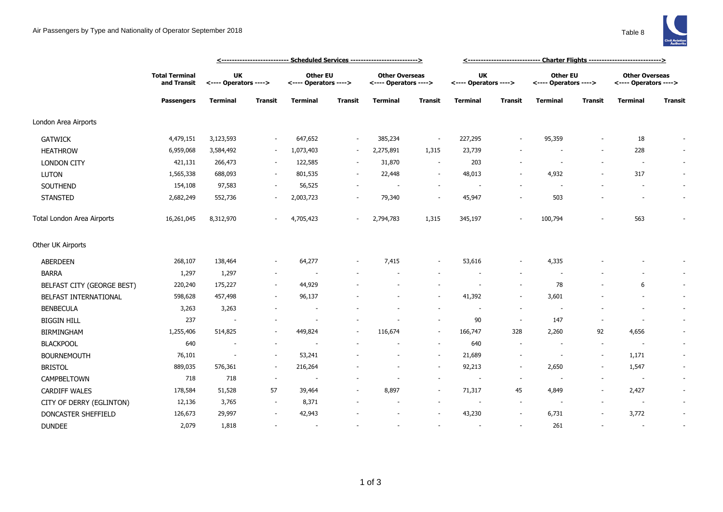## Air Passengers by Type and Nationality of Operator September 2018 Table 8



|                            |                                                           |                                    | <--------------------------- Scheduled Services --------------------------> |                                          | <------------------------------ Charter Flights ----------------------------> |                                                |                          |                                    |                          |                                   |                          |                                                |                          |
|----------------------------|-----------------------------------------------------------|------------------------------------|-----------------------------------------------------------------------------|------------------------------------------|-------------------------------------------------------------------------------|------------------------------------------------|--------------------------|------------------------------------|--------------------------|-----------------------------------|--------------------------|------------------------------------------------|--------------------------|
|                            | <b>Total Terminal</b><br>and Transit<br><b>Passengers</b> | <b>UK</b><br><---- Operators ----> |                                                                             | <b>Other EU</b><br><---- Operators ----> |                                                                               | <b>Other Overseas</b><br><---- Operators ----> |                          | <b>UK</b><br><---- Operators ----> |                          | Other EU<br><---- Operators ----> |                          | <b>Other Overseas</b><br><---- Operators ----> |                          |
|                            |                                                           | <b>Terminal</b>                    | Transit                                                                     | <b>Terminal</b>                          | Transit                                                                       | <b>Terminal</b>                                | Transit                  | <b>Terminal</b>                    | <b>Transit</b>           | Terminal                          | <b>Transit</b>           | Terminal                                       | <b>Transit</b>           |
| London Area Airports       |                                                           |                                    |                                                                             |                                          |                                                                               |                                                |                          |                                    |                          |                                   |                          |                                                |                          |
| <b>GATWICK</b>             | 4,479,151                                                 | 3,123,593                          |                                                                             | 647,652                                  | $\overline{\phantom{a}}$                                                      | 385,234                                        | $\overline{\phantom{a}}$ | 227,295                            |                          | 95,359                            |                          | 18                                             |                          |
| <b>HEATHROW</b>            | 6,959,068                                                 | 3,584,492                          |                                                                             | 1,073,403                                | $\sim$                                                                        | 2,275,891                                      | 1,315                    | 23,739                             |                          |                                   |                          | 228                                            |                          |
| <b>LONDON CITY</b>         | 421,131                                                   | 266,473                            | $\overline{\phantom{a}}$                                                    | 122,585                                  | $\sim$                                                                        | 31,870                                         | $\overline{\phantom{a}}$ | 203                                |                          |                                   |                          | $\overline{\phantom{a}}$                       | $\sim$                   |
| <b>LUTON</b>               | 1,565,338                                                 | 688,093                            | $\sim$                                                                      | 801,535                                  | $\sim$                                                                        | 22,448                                         | $\overline{\phantom{a}}$ | 48,013                             | $\overline{a}$           | 4,932                             |                          | 317                                            | $\sim$                   |
| SOUTHEND                   | 154,108                                                   | 97,583                             | $\sim$                                                                      | 56,525                                   |                                                                               |                                                | $\sim$                   | $\overline{\phantom{a}}$           |                          |                                   |                          |                                                | $\sim$                   |
| <b>STANSTED</b>            | 2,682,249                                                 | 552,736                            |                                                                             | 2,003,723                                |                                                                               | 79,340                                         | ٠                        | 45,947                             | $\overline{a}$           | 503                               |                          |                                                | $\overline{\phantom{a}}$ |
| Total London Area Airports | 16,261,045                                                | 8,312,970                          |                                                                             | 4,705,423                                | $\overline{\phantom{a}}$                                                      | 2,794,783                                      | 1,315                    | 345,197                            |                          | 100,794                           |                          | 563                                            |                          |
| Other UK Airports          |                                                           |                                    |                                                                             |                                          |                                                                               |                                                |                          |                                    |                          |                                   |                          |                                                |                          |
| ABERDEEN                   | 268,107                                                   | 138,464                            | $\sim$                                                                      | 64,277                                   |                                                                               | 7,415                                          | $\overline{\phantom{a}}$ | 53,616                             | $\overline{\phantom{a}}$ | 4,335                             |                          |                                                |                          |
| <b>BARRA</b>               | 1,297                                                     | 1,297                              | $\sim$                                                                      |                                          |                                                                               |                                                |                          |                                    |                          |                                   |                          |                                                |                          |
| BELFAST CITY (GEORGE BEST) | 220,240                                                   | 175,227                            | $\sim$                                                                      | 44,929                                   |                                                                               |                                                |                          |                                    | $\overline{\phantom{a}}$ | 78                                |                          | 6                                              | $\sim$                   |
| BELFAST INTERNATIONAL      | 598,628                                                   | 457,498                            |                                                                             | 96,137                                   |                                                                               |                                                | $\sim$                   | 41,392                             | $\overline{\phantom{a}}$ | 3,601                             |                          |                                                | $\sim$                   |
| <b>BENBECULA</b>           | 3,263                                                     | 3,263                              |                                                                             |                                          |                                                                               |                                                |                          |                                    | $\sim$                   |                                   |                          |                                                | $\sim$                   |
| <b>BIGGIN HILL</b>         | 237                                                       |                                    |                                                                             |                                          |                                                                               |                                                | $\sim$                   | 90                                 | $\sim$                   | 147                               |                          |                                                | $\sim$                   |
| <b>BIRMINGHAM</b>          | 1,255,406                                                 | 514,825                            |                                                                             | 449,824                                  | $\overline{\phantom{a}}$                                                      | 116,674                                        | $\overline{\phantom{a}}$ | 166,747                            | 328                      | 2,260                             | 92                       | 4,656                                          | $\overline{\phantom{a}}$ |
| <b>BLACKPOOL</b>           | 640                                                       | $\sim$                             | $\sim$                                                                      |                                          |                                                                               |                                                | $\sim$                   | 640                                | $\overline{\phantom{a}}$ |                                   | $\sim$                   | $\overline{\phantom{a}}$                       | $\sim$                   |
| <b>BOURNEMOUTH</b>         | 76,101                                                    | $\sim$                             | $\sim$                                                                      | 53,241                                   |                                                                               |                                                | $\overline{\phantom{a}}$ | 21,689                             | $\overline{a}$           | $\sim$                            | $\overline{\phantom{a}}$ | 1,171                                          | $\sim$                   |
| <b>BRISTOL</b>             | 889,035                                                   | 576,361                            | $\sim$                                                                      | 216,264                                  |                                                                               |                                                | $\overline{\phantom{a}}$ | 92,213                             | $\overline{\phantom{a}}$ | 2,650                             | $\overline{\phantom{a}}$ | 1,547                                          | $\sim$                   |
| CAMPBELTOWN                | 718                                                       | 718                                | $\sim$                                                                      | $\overline{\phantom{a}}$                 |                                                                               |                                                | $\overline{\phantom{a}}$ | $\overline{\phantom{a}}$           | $\overline{\phantom{a}}$ |                                   |                          | $\sim$                                         | $\sim$                   |
| <b>CARDIFF WALES</b>       | 178,584                                                   | 51,528                             | 57                                                                          | 39,464                                   |                                                                               | 8,897                                          | $\sim$                   | 71,317                             | 45                       | 4,849                             |                          | 2,427                                          | $\sim$                   |
| CITY OF DERRY (EGLINTON)   | 12,136                                                    | 3,765                              | $\sim$                                                                      | 8,371                                    |                                                                               |                                                | $\overline{\phantom{a}}$ |                                    | $\overline{\phantom{a}}$ |                                   |                          | $\overline{\phantom{a}}$                       | $\sim$                   |
| DONCASTER SHEFFIELD        | 126,673                                                   | 29,997                             |                                                                             | 42,943                                   |                                                                               |                                                |                          | 43,230                             |                          | 6,731                             |                          | 3,772                                          | $\overline{\phantom{a}}$ |
| <b>DUNDEE</b>              | 2,079                                                     | 1,818                              |                                                                             | $\sim$                                   |                                                                               |                                                | ٠                        |                                    | ٠                        | 261                               |                          |                                                | $\sim$                   |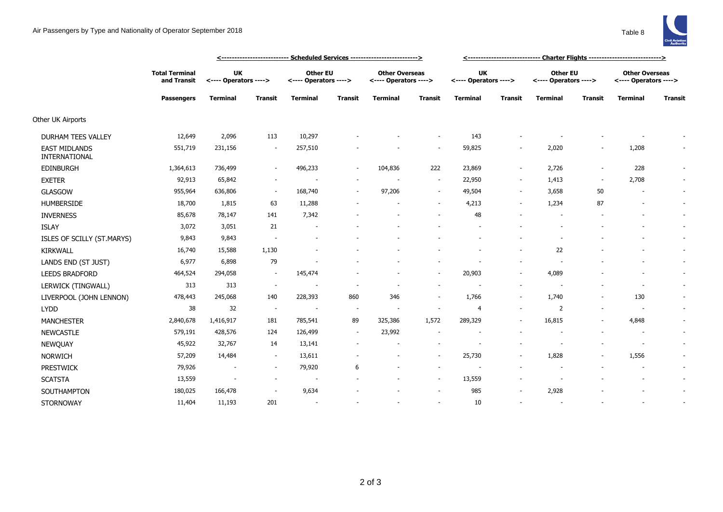

|                                       |                                                           | <u> &lt;--------------------------- Scheduled Services --------------------------&gt;</u> |                |                                          |                |                                                |                |                                    |                          |                                          |                          |                                                |                |
|---------------------------------------|-----------------------------------------------------------|-------------------------------------------------------------------------------------------|----------------|------------------------------------------|----------------|------------------------------------------------|----------------|------------------------------------|--------------------------|------------------------------------------|--------------------------|------------------------------------------------|----------------|
|                                       | <b>Total Terminal</b><br>and Transit<br><b>Passengers</b> | UK<br><---- Operators ---->                                                               |                | <b>Other EU</b><br><---- Operators ----> |                | <b>Other Overseas</b><br><---- Operators ----> |                | <b>UK</b><br><---- Operators ----> |                          | <b>Other EU</b><br><---- Operators ----> |                          | <b>Other Overseas</b><br><---- Operators ----> |                |
|                                       |                                                           | <b>Terminal</b>                                                                           | <b>Transit</b> | <b>Terminal</b>                          | <b>Transit</b> | <b>Terminal</b>                                | <b>Transit</b> | <b>Terminal</b>                    | <b>Transit</b>           | <b>Terminal</b>                          | <b>Transit</b>           | <b>Terminal</b>                                | <b>Transit</b> |
| Other UK Airports                     |                                                           |                                                                                           |                |                                          |                |                                                |                |                                    |                          |                                          |                          |                                                |                |
| DURHAM TEES VALLEY                    | 12,649                                                    | 2,096                                                                                     | 113            | 10,297                                   |                |                                                |                | 143                                |                          |                                          |                          |                                                |                |
| <b>EAST MIDLANDS</b><br>INTERNATIONAL | 551,719                                                   | 231,156                                                                                   |                | 257,510                                  |                |                                                |                | 59,825                             |                          | 2,020                                    |                          | 1,208                                          |                |
| EDINBURGH                             | 1,364,613                                                 | 736,499                                                                                   |                | 496,233                                  |                | 104,836                                        | 222            | 23,869                             |                          | 2,726                                    |                          | 228                                            |                |
| <b>EXETER</b>                         | 92,913                                                    | 65,842                                                                                    |                | $\overline{\phantom{a}}$                 |                |                                                | $\sim$         | 22,950                             | $\sim$                   | 1,413                                    | $\overline{\phantom{a}}$ | 2,708                                          | $\sim$         |
| <b>GLASGOW</b>                        | 955,964                                                   | 636,806                                                                                   | $\sim$         | 168,740                                  |                | 97,206                                         | $\sim$         | 49,504                             | $\overline{\phantom{a}}$ | 3,658                                    | 50                       | $\overline{\phantom{a}}$                       | $\sim$         |
| <b>HUMBERSIDE</b>                     | 18,700                                                    | 1,815                                                                                     | 63             | 11,288                                   |                |                                                | $\sim$         | 4,213                              | $\overline{\phantom{a}}$ | 1,234                                    | 87                       |                                                | $\sim$         |
| <b>INVERNESS</b>                      | 85,678                                                    | 78,147                                                                                    | 141            | 7,342                                    |                |                                                |                | 48                                 |                          |                                          |                          |                                                | $\sim$         |
| <b>ISLAY</b>                          | 3,072                                                     | 3,051                                                                                     | 21             |                                          |                |                                                |                |                                    |                          |                                          |                          |                                                | $\sim$         |
| ISLES OF SCILLY (ST.MARYS)            | 9,843                                                     | 9,843                                                                                     |                |                                          |                |                                                |                |                                    |                          |                                          |                          |                                                | $\sim$         |
| <b>KIRKWALL</b>                       | 16,740                                                    | 15,588                                                                                    | 1,130          |                                          |                |                                                |                |                                    |                          | 22                                       |                          |                                                |                |
| LANDS END (ST JUST)                   | 6,977                                                     | 6,898                                                                                     | 79             |                                          |                |                                                |                |                                    |                          |                                          |                          |                                                | $\sim$         |
| <b>LEEDS BRADFORD</b>                 | 464,524                                                   | 294,058                                                                                   | $\sim$         | 145,474                                  |                |                                                | $\sim$         | 20,903                             | $\overline{\phantom{a}}$ | 4,089                                    |                          |                                                | $\sim$         |
| LERWICK (TINGWALL)                    | 313                                                       | 313                                                                                       | $\sim$         |                                          |                |                                                | $\sim$         |                                    |                          |                                          |                          | $\overline{a}$                                 |                |
| LIVERPOOL (JOHN LENNON)               | 478,443                                                   | 245,068                                                                                   | 140            | 228,393                                  | 860            | 346                                            | $\sim$         | 1,766                              | $\overline{\phantom{a}}$ | 1,740                                    |                          | 130                                            | $\sim$         |
| <b>LYDD</b>                           | 38                                                        | 32                                                                                        | $\sim$         | $\overline{\phantom{a}}$                 | $\sim$         | $\overline{\phantom{a}}$                       | $\sim$         | $\overline{4}$                     |                          | $\overline{2}$                           |                          | $\overline{\phantom{a}}$                       | $\sim$         |
| <b>MANCHESTER</b>                     | 2,840,678                                                 | 1,416,917                                                                                 | 181            | 785,541                                  | 89             | 325,386                                        | 1,572          | 289,329                            |                          | 16,815                                   |                          | 4,848                                          | $\sim$         |
| NEWCASTLE                             | 579,191                                                   | 428,576                                                                                   | 124            | 126,499                                  | $\sim$         | 23,992                                         | $\sim$         |                                    |                          |                                          |                          | $\sim$                                         | $\sim$         |
| NEWQUAY                               | 45,922                                                    | 32,767                                                                                    | 14             | 13,141                                   |                |                                                |                |                                    |                          |                                          |                          |                                                |                |
| <b>NORWICH</b>                        | 57,209                                                    | 14,484                                                                                    | $\sim$         | 13,611                                   |                |                                                | $\sim$         | 25,730                             |                          | 1,828                                    |                          | 1,556                                          | $\sim$         |
| <b>PRESTWICK</b>                      | 79,926                                                    | $\overline{\phantom{a}}$                                                                  | $\sim$         | 79,920                                   | 6              |                                                | $\sim$         |                                    |                          |                                          |                          |                                                | $\sim$         |
| <b>SCATSTA</b>                        | 13,559                                                    | $\overline{\phantom{a}}$                                                                  |                | $\overline{\phantom{a}}$                 |                |                                                | $\sim$         | 13,559                             |                          |                                          |                          |                                                | $\sim$         |
| SOUTHAMPTON                           | 180,025                                                   | 166,478                                                                                   |                | 9,634                                    |                |                                                | $\sim$         | 985                                |                          | 2,928                                    |                          |                                                | $\sim$         |
| <b>STORNOWAY</b>                      | 11,404                                                    | 11,193                                                                                    | 201            | $\sim$                                   |                |                                                |                | 10                                 |                          |                                          |                          |                                                |                |